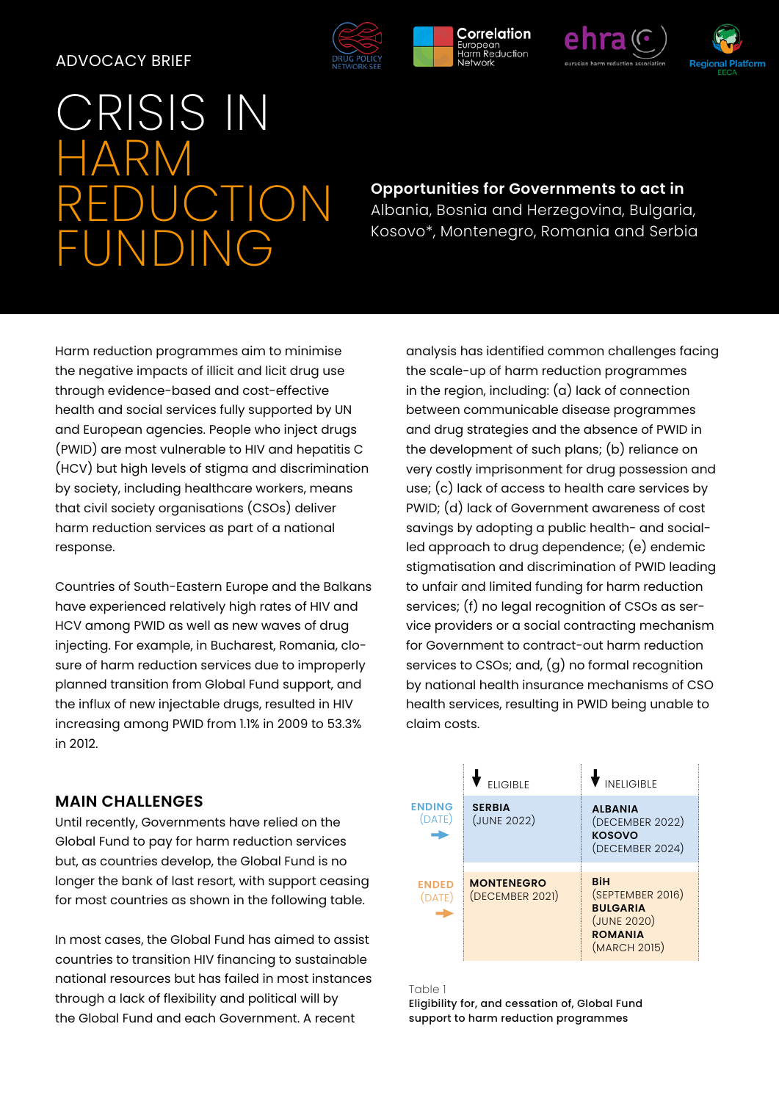#### ADVOCACY BRIEF

# RISIS IN HARM CTION FUNDING

## **Opportunities for Governments to act in**  Albania, Bosnia and Herzegovina, Bulgaria, Kosovo\*, Montenegro, Romania and Serbia

Harm reduction programmes aim to minimise the negative impacts of illicit and licit drug use through evidence-based and cost-effective health and social services fully supported by UN and European agencies. People who inject drugs (PWID) are most vulnerable to HIV and hepatitis C (HCV) but high levels of stigma and discrimination by society, including healthcare workers, means that civil society organisations (CSOs) deliver harm reduction services as part of a national response.

Countries of South-Eastern Europe and the Balkans have experienced relatively high rates of HIV and HCV among PWID as well as new waves of drug injecting. For example, in Bucharest, Romania, closure of harm reduction services due to improperly planned transition from Global Fund support, and the influx of new injectable drugs, resulted in HIV increasing among PWID from 1.1% in 2009 to 53.3% in 2012.

### **MAIN CHALLENGES**

Until recently, Governments have relied on the Global Fund to pay for harm reduction services but, as countries develop, the Global Fund is no longer the bank of last resort, with support ceasing for most countries as shown in the following table.

In most cases, the Global Fund has aimed to assist countries to transition HIV financing to sustainable national resources but has failed in most instances through a lack of flexibility and political will by the Global Fund and each Government. A recent

analysis has identified common challenges facing the scale-up of harm reduction programmes in the region, including: (a) lack of connection between communicable disease programmes and drug strategies and the absence of PWID in the development of such plans; (b) reliance on very costly imprisonment for drug possession and use; (c) lack of access to health care services by PWID; (d) lack of Government awareness of cost savings by adopting a public health- and socialled approach to drug dependence; (e) endemic stigmatisation and discrimination of PWID leading to unfair and limited funding for harm reduction services; (f) no legal recognition of CSOs as service providers or a social contracting mechanism for Government to contract-out harm reduction services to CSOs; and, (g) no formal recognition by national health insurance mechanisms of CSO health services, resulting in PWID being unable to claim costs.

#### $\blacklozenge$  eligible **ENDED** (DATE) **ENDING** (DATE)  $\blacklozenge$  ineligible **ALBANIA** (DECEMBER 2022) **KOSOVO** (DECEMBER 2024) **BiH** (SEPTEMBER 2016) **BULGARIA** (JUNE 2020) **ROMANIA** (MARCH 2015) **MONTENEGRO** (DECEMBER 2021) **SERBIA** (JUNE 2022)  $\rightarrow$  $\rightarrow$

#### Table 1

Eligibility for, and cessation of, Global Fund support to harm reduction programmes